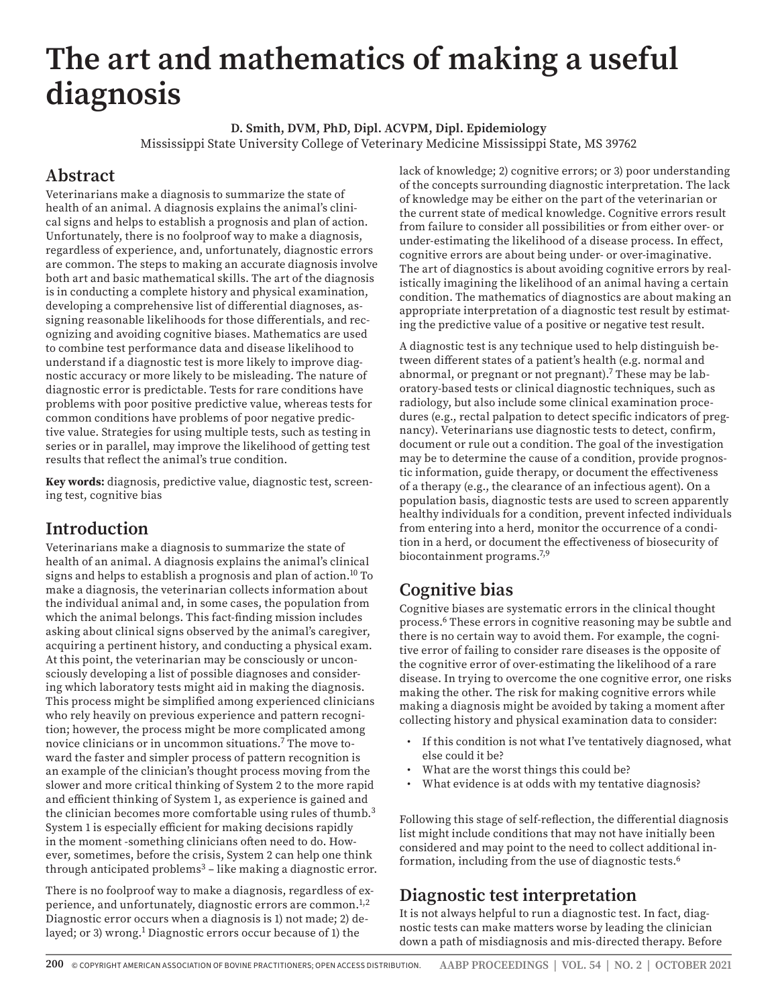# **The art and mathematics of making a useful diagnosis**

**D. Smith, DVM, PhD, Dipl. ACVPM, Dipl. Epidemiology** Mississippi State University College of Veterinary Medicine Mississippi State, MS 39762

# **Abstract**

Veterinarians make a diagnosis to summarize the state of health of an animal. A diagnosis explains the animal's clinical signs and helps to establish a prognosis and plan of action. Unfortunately, there is no foolproof way to make a diagnosis, regardless of experience, and, unfortunately, diagnostic errors are common. The steps to making an accurate diagnosis involve both art and basic mathematical skills. The art of the diagnosis is in conducting a complete history and physical examination, developing a comprehensive list of differential diagnoses, assigning reasonable likelihoods for those differentials, and recognizing and avoiding cognitive biases. Mathematics are used to combine test performance data and disease likelihood to understand if a diagnostic test is more likely to improve diagnostic accuracy or more likely to be misleading. The nature of diagnostic error is predictable. Tests for rare conditions have problems with poor positive predictive value, whereas tests for common conditions have problems of poor negative predictive value. Strategies for using multiple tests, such as testing in series or in parallel, may improve the likelihood of getting test results that reflect the animal's true condition.

**Key words:** diagnosis, predictive value, diagnostic test, screening test, cognitive bias

### **Introduction**

Veterinarians make a diagnosis to summarize the state of health of an animal. A diagnosis explains the animal's clinical signs and helps to establish a prognosis and plan of action.<sup>10</sup> To make a diagnosis, the veterinarian collects information about the individual animal and, in some cases, the population from which the animal belongs. This fact-finding mission includes asking about clinical signs observed by the animal's caregiver, acquiring a pertinent history, and conducting a physical exam. At this point, the veterinarian may be consciously or unconsciously developing a list of possible diagnoses and considering which laboratory tests might aid in making the diagnosis. This process might be simplified among experienced clinicians who rely heavily on previous experience and pattern recognition; however, the process might be more complicated among novice clinicians or in uncommon situations.<sup>7</sup> The move toward the faster and simpler process of pattern recognition is an example of the clinician's thought process moving from the slower and more critical thinking of System 2 to the more rapid and efficient thinking of System 1, as experience is gained and the clinician becomes more comfortable using rules of thumb.<sup>3</sup> System 1 is especially efficient for making decisions rapidly in the moment -something clinicians often need to do. However, sometimes, before the crisis, System 2 can help one think through anticipated problems<sup>3</sup> – like making a diagnostic error.

There is no foolproof way to make a diagnosis, regardless of experience, and unfortunately, diagnostic errors are common.<sup>1,2</sup> Diagnostic error occurs when a diagnosis is 1) not made; 2) delayed; or 3) wrong.<sup>1</sup> Diagnostic errors occur because of 1) the

lack of knowledge; 2) cognitive errors; or 3) poor understanding of the concepts surrounding diagnostic interpretation. The lack of knowledge may be either on the part of the veterinarian or the current state of medical knowledge. Cognitive errors result from failure to consider all possibilities or from either over- or under-estimating the likelihood of a disease process. In effect, cognitive errors are about being under- or over-imaginative. The art of diagnostics is about avoiding cognitive errors by realistically imagining the likelihood of an animal having a certain condition. The mathematics of diagnostics are about making an appropriate interpretation of a diagnostic test result by estimating the predictive value of a positive or negative test result.

A diagnostic test is any technique used to help distinguish between different states of a patient's health (e.g. normal and abnormal, or pregnant or not pregnant).<sup>7</sup> These may be laboratory-based tests or clinical diagnostic techniques, such as radiology, but also include some clinical examination procedures (e.g., rectal palpation to detect specific indicators of pregnancy). Veterinarians use diagnostic tests to detect, confirm, document or rule out a condition. The goal of the investigation may be to determine the cause of a condition, provide prognostic information, guide therapy, or document the effectiveness of a therapy (e.g., the clearance of an infectious agent). On a population basis, diagnostic tests are used to screen apparently healthy individuals for a condition, prevent infected individuals from entering into a herd, monitor the occurrence of a condition in a herd, or document the effectiveness of biosecurity of biocontainment programs.7,9

# **Cognitive bias**

Cognitive biases are systematic errors in the clinical thought process.6 These errors in cognitive reasoning may be subtle and there is no certain way to avoid them. For example, the cognitive error of failing to consider rare diseases is the opposite of the cognitive error of over-estimating the likelihood of a rare disease. In trying to overcome the one cognitive error, one risks making the other. The risk for making cognitive errors while making a diagnosis might be avoided by taking a moment after collecting history and physical examination data to consider:

- If this condition is not what I've tentatively diagnosed, what else could it be?
- What are the worst things this could be?
- What evidence is at odds with my tentative diagnosis?

Following this stage of self-reflection, the differential diagnosis list might include conditions that may not have initially been considered and may point to the need to collect additional information, including from the use of diagnostic tests.6

# **Diagnostic test interpretation**

It is not always helpful to run a diagnostic test. In fact, diagnostic tests can make matters worse by leading the clinician down a path of misdiagnosis and mis-directed therapy. Before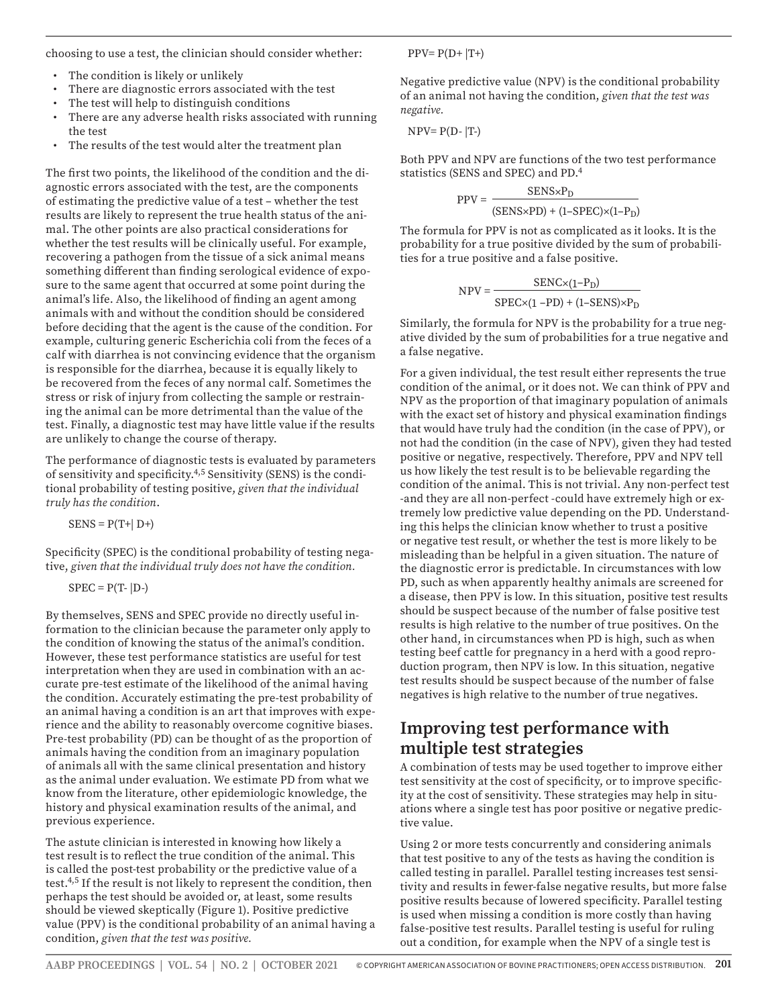choosing to use a test, the clinician should consider whether:

- The condition is likely or unlikely
- There are diagnostic errors associated with the test
- The test will help to distinguish conditions
- There are any adverse health risks associated with running the test
- The results of the test would alter the treatment plan

The first two points, the likelihood of the condition and the diagnostic errors associated with the test, are the components of estimating the predictive value of a test – whether the test results are likely to represent the true health status of the animal. The other points are also practical considerations for whether the test results will be clinically useful. For example, recovering a pathogen from the tissue of a sick animal means something different than finding serological evidence of exposure to the same agent that occurred at some point during the animal's life. Also, the likelihood of finding an agent among animals with and without the condition should be considered before deciding that the agent is the cause of the condition. For example, culturing generic Escherichia coli from the feces of a calf with diarrhea is not convincing evidence that the organism is responsible for the diarrhea, because it is equally likely to be recovered from the feces of any normal calf. Sometimes the stress or risk of injury from collecting the sample or restraining the animal can be more detrimental than the value of the test. Finally, a diagnostic test may have little value if the results are unlikely to change the course of therapy.

The performance of diagnostic tests is evaluated by parameters of sensitivity and specificity.4,5 Sensitivity (SENS) is the conditional probability of testing positive, *given that the individual truly has the condition*.

 $SENS = P(T+|D+)$ 

Specificity (SPEC) is the conditional probability of testing negative, *given that the individual truly does not have the condition.*

 $SPEC = P(T-|D-)$ 

By themselves, SENS and SPEC provide no directly useful information to the clinician because the parameter only apply to the condition of knowing the status of the animal's condition. However, these test performance statistics are useful for test interpretation when they are used in combination with an accurate pre-test estimate of the likelihood of the animal having the condition. Accurately estimating the pre-test probability of an animal having a condition is an art that improves with experience and the ability to reasonably overcome cognitive biases. Pre-test probability (PD) can be thought of as the proportion of animals having the condition from an imaginary population of animals all with the same clinical presentation and history as the animal under evaluation. We estimate PD from what we know from the literature, other epidemiologic knowledge, the history and physical examination results of the animal, and previous experience.

The astute clinician is interested in knowing how likely a test result is to reflect the true condition of the animal. This is called the post-test probability or the predictive value of a test.4,5 If the result is not likely to represent the condition, then perhaps the test should be avoided or, at least, some results should be viewed skeptically (Figure 1). Positive predictive value (PPV) is the conditional probability of an animal having a condition, *given that the test was positive.*

 $PPV = P(D+ |T+)$ 

Negative predictive value (NPV) is the conditional probability of an animal not having the condition, *given that the test was negative.*

 $NPV = P(D - |T-)$ 

Both PPV and NPV are functions of the two test performance statistics (SENS and SPEC) and PD.4

$$
PPV = \frac{SENS \times P_D}{(SENS \times PD) + (1-SPEC) \times (1-P_D)}
$$

The formula for PPV is not as complicated as it looks. It is the probability for a true positive divided by the sum of probabilities for a true positive and a false positive.

$$
NPV = \frac{SENC \times (1 - P_D)}{SPEC \times (1 - PD) + (1 - SENS) \times P_D}
$$

Similarly, the formula for NPV is the probability for a true negative divided by the sum of probabilities for a true negative and a false negative.

For a given individual, the test result either represents the true condition of the animal, or it does not. We can think of PPV and NPV as the proportion of that imaginary population of animals with the exact set of history and physical examination findings that would have truly had the condition (in the case of PPV), or not had the condition (in the case of NPV), given they had tested positive or negative, respectively. Therefore, PPV and NPV tell us how likely the test result is to be believable regarding the condition of the animal. This is not trivial. Any non-perfect test -and they are all non-perfect -could have extremely high or extremely low predictive value depending on the PD. Understanding this helps the clinician know whether to trust a positive or negative test result, or whether the test is more likely to be misleading than be helpful in a given situation. The nature of the diagnostic error is predictable. In circumstances with low PD, such as when apparently healthy animals are screened for a disease, then PPV is low. In this situation, positive test results should be suspect because of the number of false positive test results is high relative to the number of true positives. On the other hand, in circumstances when PD is high, such as when testing beef cattle for pregnancy in a herd with a good reproduction program, then NPV is low. In this situation, negative test results should be suspect because of the number of false negatives is high relative to the number of true negatives.

## **Improving test performance with multiple test strategies**

A combination of tests may be used together to improve either test sensitivity at the cost of specificity, or to improve specificity at the cost of sensitivity. These strategies may help in situations where a single test has poor positive or negative predictive value.

Using 2 or more tests concurrently and considering animals that test positive to any of the tests as having the condition is called testing in parallel. Parallel testing increases test sensitivity and results in fewer-false negative results, but more false positive results because of lowered specificity. Parallel testing is used when missing a condition is more costly than having false-positive test results. Parallel testing is useful for ruling out a condition, for example when the NPV of a single test is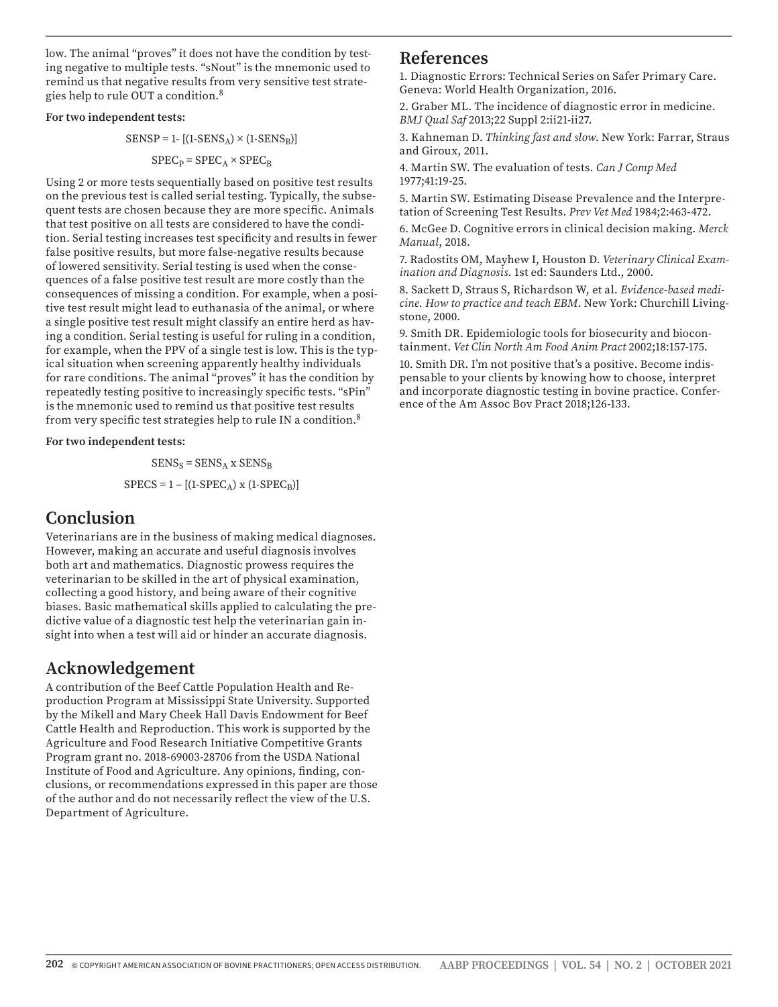low. The animal "proves" it does not have the condition by testing negative to multiple tests. "sNout" is the mnemonic used to remind us that negative results from very sensitive test strategies help to rule OUT a condition.8

#### **For two independent tests:**

 $SENSEP = 1 - [(1-SENS_A) \times (1-SENS_B)]$ 

$$
\text{SPEC}_{\text{P}} = \text{SPEC}_{\text{A}} \times \text{SPEC}_{\text{B}}
$$

Using 2 or more tests sequentially based on positive test results on the previous test is called serial testing. Typically, the subsequent tests are chosen because they are more specific. Animals that test positive on all tests are considered to have the condition. Serial testing increases test specificity and results in fewer false positive results, but more false-negative results because of lowered sensitivity. Serial testing is used when the consequences of a false positive test result are more costly than the consequences of missing a condition. For example, when a positive test result might lead to euthanasia of the animal, or where a single positive test result might classify an entire herd as having a condition. Serial testing is useful for ruling in a condition, for example, when the PPV of a single test is low. This is the typical situation when screening apparently healthy individuals for rare conditions. The animal "proves" it has the condition by repeatedly testing positive to increasingly specific tests. "sPin" is the mnemonic used to remind us that positive test results from very specific test strategies help to rule IN a condition.8

#### **For two independent tests:**

 $SENS_S = SENS_A$  x  $SENS_B$  $SPECS = 1 - [(1-SPEC<sub>A</sub>) \times (1-SPEC<sub>B</sub>)]$ 

### **Conclusion**

Veterinarians are in the business of making medical diagnoses. However, making an accurate and useful diagnosis involves both art and mathematics. Diagnostic prowess requires the veterinarian to be skilled in the art of physical examination, collecting a good history, and being aware of their cognitive biases. Basic mathematical skills applied to calculating the predictive value of a diagnostic test help the veterinarian gain insight into when a test will aid or hinder an accurate diagnosis.

### **Acknowledgement**

A contribution of the Beef Cattle Population Health and Reproduction Program at Mississippi State University. Supported by the Mikell and Mary Cheek Hall Davis Endowment for Beef Cattle Health and Reproduction. This work is supported by the Agriculture and Food Research Initiative Competitive Grants Program grant no. 2018-69003-28706 from the USDA National Institute of Food and Agriculture. Any opinions, finding, conclusions, or recommendations expressed in this paper are those of the author and do not necessarily reflect the view of the U.S. Department of Agriculture.

### **References**

1. Diagnostic Errors: Technical Series on Safer Primary Care. Geneva: World Health Organization, 2016.

2. Graber ML. The incidence of diagnostic error in medicine. *BMJ Qual Saf* 2013;22 Suppl 2:ii21-ii27.

3. Kahneman D. *Thinking fast and slow*. New York: Farrar, Straus and Giroux, 2011.

4. Martin SW. The evaluation of tests. *Can J Comp Med* 1977;41:19-25.

5. Martin SW. Estimating Disease Prevalence and the Interpretation of Screening Test Results. *Prev Vet Med* 1984;2:463-472.

6. McGee D. Cognitive errors in clinical decision making. *Merck Manual*, 2018.

7. Radostits OM, Mayhew I, Houston D. *Veterinary Clinical Examination and Diagnosis*. 1st ed: Saunders Ltd., 2000.

8. Sackett D, Straus S, Richardson W, et al. *Evidence-based medicine. How to practice and teach EBM*. New York: Churchill Livingstone, 2000.

9. Smith DR. Epidemiologic tools for biosecurity and biocontainment. *Vet Clin North Am Food Anim Pract* 2002;18:157-175.

10. Smith DR. I'm not positive that's a positive. Become indispensable to your clients by knowing how to choose, interpret and incorporate diagnostic testing in bovine practice. Conference of the Am Assoc Bov Pract 2018;126-133.